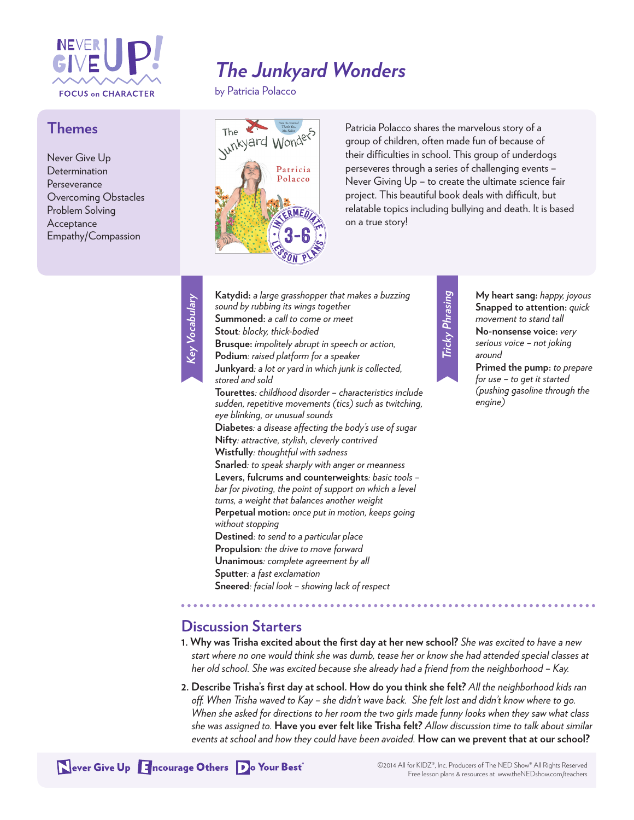

#### **Themes**

Never Give Up Determination Perseverance Overcoming Obstacles Problem Solving Acceptance Empathy/Compassion

# *The Junkyard Wonders*

by Patricia Polacco



Patricia Polacco shares the marvelous story of a group of children, often made fun of because of their difficulties in school. This group of underdogs perseveres through a series of challenging events – Never Giving Up – to create the ultimate science fair project. This beautiful book deals with difficult, but relatable topics including bullying and death. It is based on a true story!

| Katydid: a large grasshopper that makes a buzzing               |
|-----------------------------------------------------------------|
| sound by rubbing its wings together                             |
| Summoned: a call to come or meet                                |
| Stout: blocky, thick-bodied                                     |
| Brusque: impolitely abrupt in speech or action,                 |
| Podium: raised platform for a speaker                           |
| Junkyard: a lot or yard in which junk is collected,             |
| stored and sold                                                 |
| <b>Tourettes</b> : childhood disorder - characteristics include |
| sudden, repetitive movements (tics) such as twitching,          |
| eye blinking, or unusual sounds                                 |
| Diabetes: a disease affecting the body's use of sugar           |
| Nifty: attractive, stylish, cleverly contrived                  |
| Wistfully: thoughtful with sadness                              |
| Snarled: to speak sharply with anger or meanness                |
| Levers, fulcrums and counterweights: basic tools -              |
| bar for pivoting, the point of support on which a level         |
| turns, a weight that balances another weight                    |
| Perpetual motion: once put in motion, keeps going               |
| without stopping                                                |
| Destined: to send to a particular place                         |
| Propulsion: the drive to move forward                           |
| Unanimous: complete agreement by all                            |
| Sputter: a fast exclamation                                     |
| Sneered: facial look - showing lack of respect                  |

# Tricky Phrasing *Tricky Phrasing*

**My heart sang:** *happy, joyous* **Snapped to attention:** *quick movement to stand tall* **No-nonsense voice:** *very serious voice – not joking around* **Primed the pump:** *to prepare* 

*for use – to get it started (pushing gasoline through the engine)*

#### **Discussion Starters**

- **1. Why was Trisha excited about the first day at her new school?** *She was excited to have a new start where no one would think she was dumb, tease her or know she had attended special classes at her old school. She was excited because she already had a friend from the neighborhood – Kay.*
- **2. Describe Trisha's first day at school. How do you think she felt?** *All the neighborhood kids ran off. When Trisha waved to Kay – she didn't wave back. She felt lost and didn't know where to go. When she asked for directions to her room the two girls made funny looks when they saw what class she was assigned to.* **Have you ever felt like Trisha felt?** *Allow discussion time to talk about similar events at school and how they could have been avoided.* **How can we prevent that at our school?**

Never Give Up Encourage Others Do Your Best<sup>®</sup>

*Key Vocabulary*

Key Vocabulary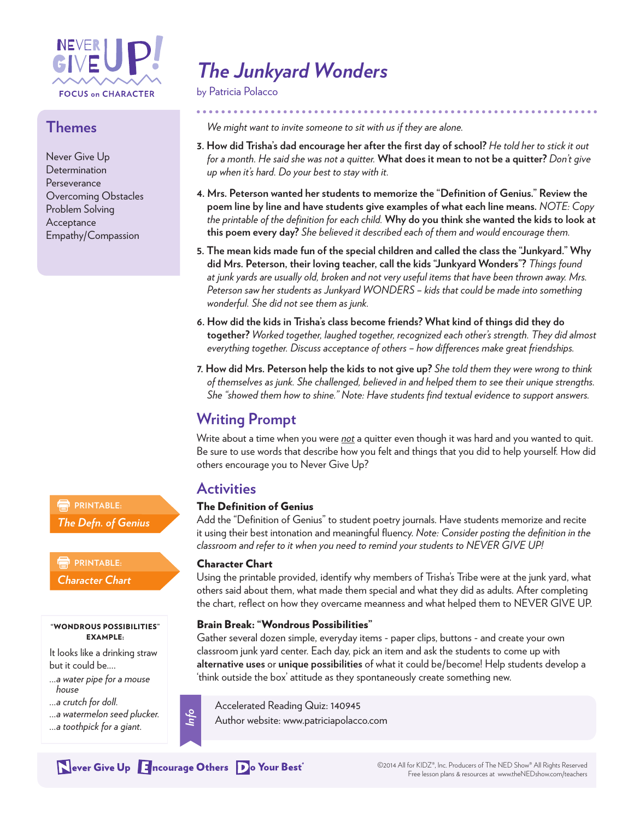

#### **Themes**

Never Give Up **Determination Perseverance** Overcoming Obstacles Problem Solving Acceptance Empathy/Compassion

# *The Junkyard Wonders*

by Patricia Polacco

*We might want to invite someone to sit with us if they are alone.*

- **3. How did Trisha's dad encourage her after the first day of school?** *He told her to stick it out for a month. He said she was not a quitter.* **What does it mean to not be a quitter?** *Don't give up when it's hard. Do your best to stay with it.*
- **4. Mrs. Peterson wanted her students to memorize the "Definition of Genius." Review the poem line by line and have students give examples of what each line means.** *NOTE: Copy the printable of the definition for each child.* **Why do you think she wanted the kids to look at this poem every day?** *She believed it described each of them and would encourage them.*
- **5. The mean kids made fun of the special children and called the class the "Junkyard." Why did Mrs. Peterson, their loving teacher, call the kids "Junkyard Wonders"?** *Things found at junk yards are usually old, broken and not very useful items that have been thrown away. Mrs. Peterson saw her students as Junkyard WONDERS – kids that could be made into something wonderful. She did not see them as junk.*
- **6. How did the kids in Trisha's class become friends? What kind of things did they do together?** *Worked together, laughed together, recognized each other's strength. They did almost everything together. Discuss acceptance of others – how differences make great friendships.*
- **7. How did Mrs. Peterson help the kids to not give up?** *She told them they were wrong to think of themselves as junk. She challenged, believed in and helped them to see their unique strengths. She "showed them how to shine." Note: Have students find textual evidence to support answers.*

## **Writing Prompt**

Write about a time when you were *not* a quitter even though it was hard and you wanted to quit. Be sure to use words that describe how you felt and things that you did to help yourself. How did others encourage you to Never Give Up?

#### **Activities**

#### The Definition of Genius

Add the "Definition of Genius" to student poetry journals. Have students memorize and recite it using their best intonation and meaningful fluency. *Note: Consider posting the definition in the classroom and refer to it when you need to remind your students to NEVER GIVE UP!* 

#### Character Chart

Using the printable provided, identify why members of Trisha's Tribe were at the junk yard, what others said about them, what made them special and what they did as adults. After completing the chart, reflect on how they overcame meanness and what helped them to NEVER GIVE UP.

#### Brain Break: "Wondrous Possibilities"

Gather several dozen simple, everyday items - paper clips, buttons - and create your own classroom junk yard center. Each day, pick an item and ask the students to come up with **alternative uses** or **unique possibilities** of what it could be/become! Help students develop a 'think outside the box' attitude as they spontaneously create something new.

- *house ...a crutch for doll.*
- *...a watermelon seed plucker.*

"WONDROUS POSSIBILITIES" EXAMPLE: It looks like a drinking straw

*...a toothpick for a giant.*

*...a water pipe for a mouse* 

but it could be....

**PRINTABLE:** *Character Chart*

**PRINTABLE:** 

*The Defn. of Genius*



Accelerated Reading Quiz: 140945 Author website: www.patriciapolacco.com

Never Give Up Encourage Others Do Your Best<sup>®</sup>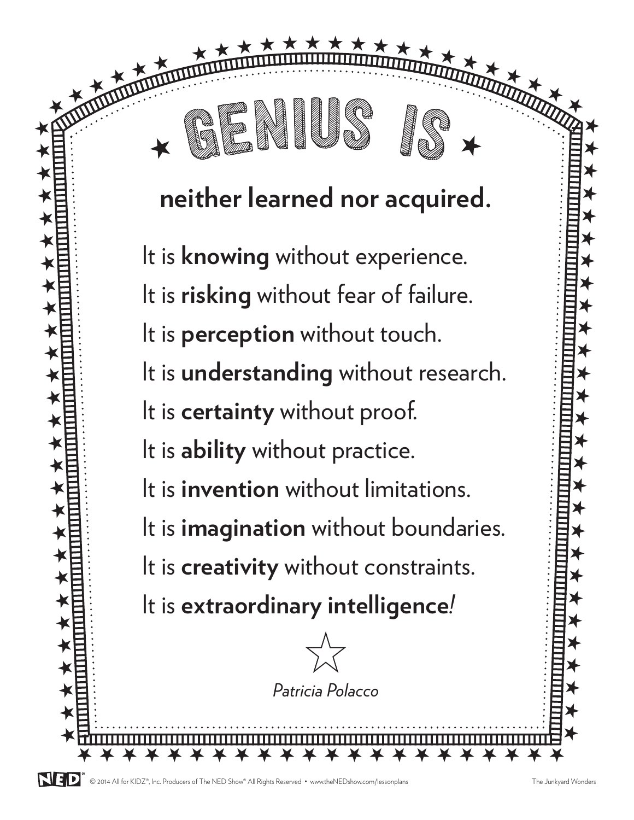# **neither learned nor acquired.**

 $H + H + H + H + H + H + H$ 

It is **knowing** without experience. It is **risking** without fear of failure. It is **perception** without touch. It is **understanding** without research. It is **certainty** without proof. It is **ability** without practice. It is **invention** without limitations. It is **imagination** without boundaries. It is **creativity** without constraints. It is **extraordinary intelligence***!*

H H H H H H H H H H H H H H H H H H H H H H

 $\bigstar$ 

 $\bigstar$ 

 $\bigstar$ 

 $\bigstar$ 

 $\bigstar$ 

 $\bigstar$ 

 $\bigstar$ 

 $\bigstar$ 

 $\bigstar$ 

 $\bigstar$ 

 $\bigstar$ 

 $\bigstar$ 

 $\bigstar$ 

 $\bigstar$ 

 $\bigstar$ 

 $\bigstar$ 

 $\bigstar$ 

 $\bigstar$ 

 $\bigstar$ 

 $\bigstar$ 

 $\bigstar$ 

 $\bigstar$ 

 $\bigstar$ 

 $\bigstar$ 

 $\bigstar$ 

 $\bigstar$ 

 $\bigstar$ 

 $\bigstar$ 

 $\bigstar$ 

 $H$   $\overline{H}$   $\overline{H}$   $\overline{H}$   $\overline{H}$   $\overline{H}$   $\overline{H}$   $\overline{H}$   $\overline{H}$   $\overline{H}$   $\overline{H}$   $\overline{H}$   $\overline{H}$   $\overline{H}$   $\overline{H}$   $\overline{H}$   $\overline{H}$   $\overline{H}$   $\overline{H}$   $\overline{H}$   $\overline{H}$   $\overline{H}$   $\overline{H}$   $\overline{H}$   $\overline{H}$ 

 $\bigstar$ 

 $\bigstar$ 

 $\bigstar$ 

 $\bigstar$ 

 $\bigstar$ 

 $\bigstar$ 

 $\bigstar$ 

 $\bigstar$ 

 $\bigstar$ 

 $\bigstar$ 

 $\bigstar$ 

 $\bigstar$ 

 $\bigstar$ 

 $\bigstar$ 

 $\bigstar$ 

 $\bigstar$ 

 $\bigstar$ 

 $\bigstar$ 

 $\bigstar$ 

 $\bigstar$ 

 $\bigstar$ 

 $\bigstar$ 

 $\bigstar$ 

 $\bigstar$ 

 $\bigstar$ 

 $\bigstar$ 

 $\bigstar$ 

 $\bigstar$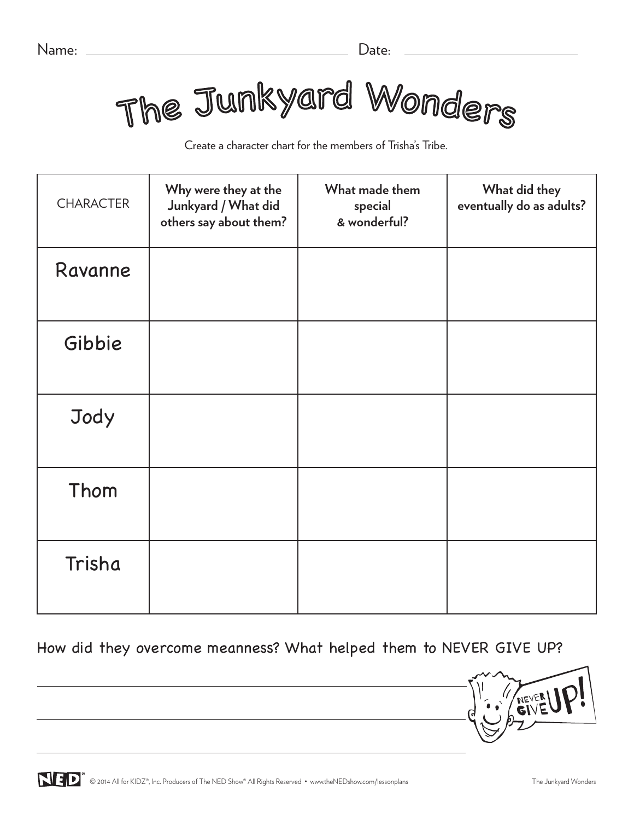The Junkyard Wonders

Create a character chart for the members of Trisha's Tribe.

| <b>CHARACTER</b> | Why were they at the<br>Junkyard / What did<br>others say about them? | What made them<br>special<br>& wonderful? | What did they<br>eventually do as adults? |
|------------------|-----------------------------------------------------------------------|-------------------------------------------|-------------------------------------------|
| Ravanne          |                                                                       |                                           |                                           |
| Gibbie           |                                                                       |                                           |                                           |
| Jody             |                                                                       |                                           |                                           |
| Thom             |                                                                       |                                           |                                           |
| Trisha           |                                                                       |                                           |                                           |

How did they overcome meanness? What helped them to NEVER GIVE UP?

**GIVE**